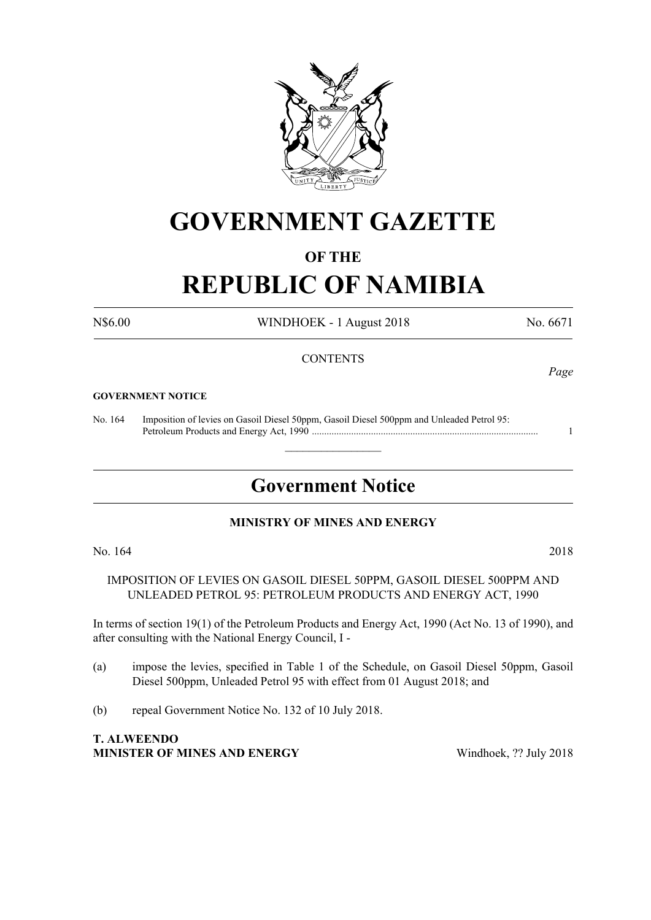

# **GOVERNMENT GAZETTE**

## **OF THE**

# **REPUBLIC OF NAMIBIA**

N\$6.00 WINDHOEK - 1 August 2018 No. 6671

#### **CONTENTS**

#### **GOVERNMENT NOTICE**

No. 164 Imposition of levies on Gasoil Diesel 50ppm, Gasoil Diesel 500ppm and Unleaded Petrol 95: Petroleum Products and Energy Act, 1990 ............................................................................................ 1

# **Government Notice**

 $\overline{\phantom{a}}$  , where  $\overline{\phantom{a}}$ 

#### **MINISTRY OF MINES AND ENERGY**

No. 164 2018

IMPOSITION OF LEVIES ON GASOIL DIESEL 50PPM, GASOIL DIESEL 500PPM AND UNLEADED PETROL 95: PETROLEUM PRODUCTS AND ENERGY ACT, 1990

In terms of section 19(1) of the Petroleum Products and Energy Act, 1990 (Act No. 13 of 1990), and after consulting with the National Energy Council, I -

- (a) impose the levies, specified in Table 1 of the Schedule, on Gasoil Diesel 50ppm, Gasoil Diesel 500ppm, Unleaded Petrol 95 with effect from 01 August 2018; and
- (b) repeal Government Notice No. 132 of 10 July 2018.

**T. ALWEENDO MINISTER OF MINES AND ENERGY** Windhoek, ?? July 2018

*Page*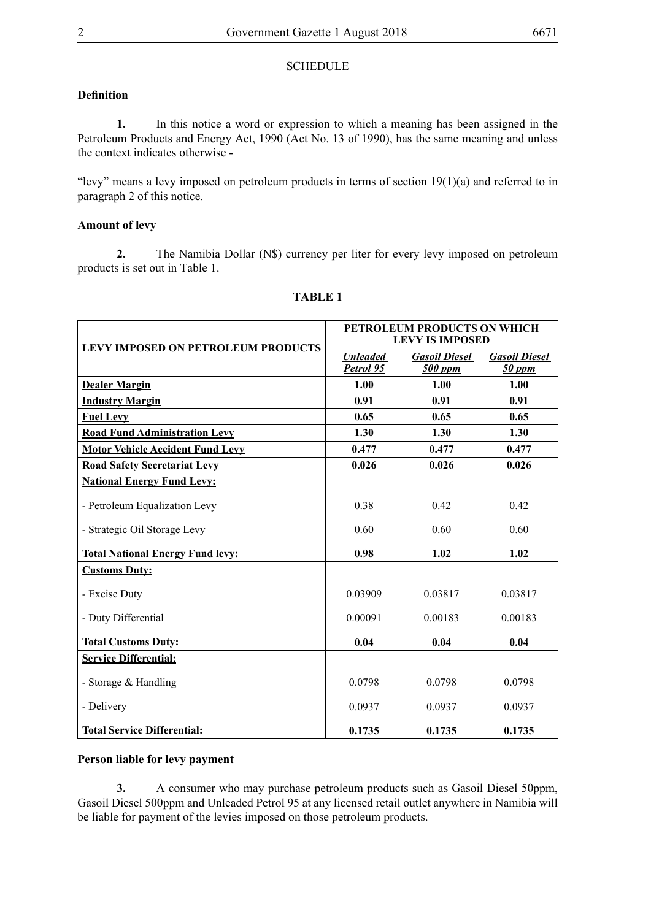#### **SCHEDULE**

### **Definition**

**1.** In this notice a word or expression to which a meaning has been assigned in the Petroleum Products and Energy Act, 1990 (Act No. 13 of 1990), has the same meaning and unless the context indicates otherwise -

"levy" means a levy imposed on petroleum products in terms of section  $19(1)(a)$  and referred to in paragraph 2 of this notice.

#### **Amount of levy**

**2.** The Namibia Dollar (N\$) currency per liter for every levy imposed on petroleum products is set out in Table 1.

| <b>LEVY IMPOSED ON PETROLEUM PRODUCTS</b> | PETROLEUM PRODUCTS ON WHICH<br><b>LEVY IS IMPOSED</b> |                                 |                                |
|-------------------------------------------|-------------------------------------------------------|---------------------------------|--------------------------------|
|                                           | <b>Unleaded</b><br>Petrol 95                          | <b>Gasoil Diesel</b><br>500 ppm | <b>Gasoil Diesel</b><br>50 ppm |
| <b>Dealer Margin</b>                      | 1.00                                                  | 1.00                            | 1.00                           |
| <b>Industry Margin</b>                    | 0.91                                                  | 0.91                            | 0.91                           |
| <b>Fuel Levy</b>                          | 0.65                                                  | 0.65                            | 0.65                           |
| <b>Road Fund Administration Levy</b>      | 1.30                                                  | 1.30                            | 1.30                           |
| <b>Motor Vehicle Accident Fund Levy</b>   | 0.477                                                 | 0.477                           | 0.477                          |
| <b>Road Safety Secretariat Levy</b>       | 0.026                                                 | 0.026                           | 0.026                          |
| <b>National Energy Fund Levy:</b>         |                                                       |                                 |                                |
| - Petroleum Equalization Levy             | 0.38                                                  | 0.42                            | 0.42                           |
| - Strategic Oil Storage Levy              | 0.60                                                  | 0.60                            | 0.60                           |
| <b>Total National Energy Fund levy:</b>   | 0.98                                                  | 1.02                            | 1.02                           |
| <b>Customs Duty:</b>                      |                                                       |                                 |                                |
| - Excise Duty                             | 0.03909                                               | 0.03817                         | 0.03817                        |
| - Duty Differential                       | 0.00091                                               | 0.00183                         | 0.00183                        |
| <b>Total Customs Duty:</b>                | 0.04                                                  | 0.04                            | 0.04                           |
| <b>Service Differential:</b>              |                                                       |                                 |                                |
| - Storage & Handling                      | 0.0798                                                | 0.0798                          | 0.0798                         |
| - Delivery                                | 0.0937                                                | 0.0937                          | 0.0937                         |
| <b>Total Service Differential:</b>        | 0.1735                                                | 0.1735                          | 0.1735                         |

### **TABLE 1**

#### **Person liable for levy payment**

**3.** A consumer who may purchase petroleum products such as Gasoil Diesel 50ppm, Gasoil Diesel 500ppm and Unleaded Petrol 95 at any licensed retail outlet anywhere in Namibia will be liable for payment of the levies imposed on those petroleum products.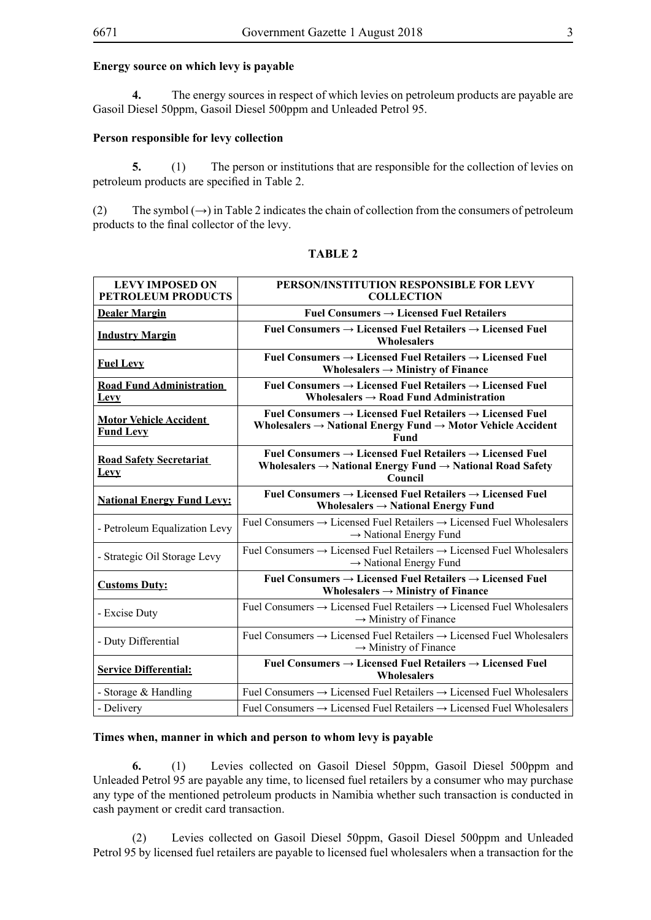#### **Energy source on which levy is payable**

**4.** The energy sources in respect of which levies on petroleum products are payable are Gasoil Diesel 50ppm, Gasoil Diesel 500ppm and Unleaded Petrol 95.

#### **Person responsible for levy collection**

**5.** (1) The person or institutions that are responsible for the collection of levies on petroleum products are specified in Table 2.

(2) The symbol  $(\rightarrow)$  in Table 2 indicates the chain of collection from the consumers of petroleum products to the final collector of the levy.

| <b>LEVY IMPOSED ON</b><br><b>PETROLEUM PRODUCTS</b> | PERSON/INSTITUTION RESPONSIBLE FOR LEVY<br><b>COLLECTION</b>                                                                                                                           |  |  |
|-----------------------------------------------------|----------------------------------------------------------------------------------------------------------------------------------------------------------------------------------------|--|--|
| <b>Dealer Margin</b>                                | Fuel Consumers $\rightarrow$ Licensed Fuel Retailers                                                                                                                                   |  |  |
| <b>Industry Margin</b>                              | Fuel Consumers $\rightarrow$ Licensed Fuel Retailers $\rightarrow$ Licensed Fuel<br><b>Wholesalers</b>                                                                                 |  |  |
| <b>Fuel Levy</b>                                    | Fuel Consumers $\rightarrow$ Licensed Fuel Retailers $\rightarrow$ Licensed Fuel<br>Wholesalers $\rightarrow$ Ministry of Finance                                                      |  |  |
| <b>Road Fund Administration</b><br><b>Levy</b>      | Fuel Consumers $\rightarrow$ Licensed Fuel Retailers $\rightarrow$ Licensed Fuel<br>Wholesalers $\rightarrow$ Road Fund Administration                                                 |  |  |
| <b>Motor Vehicle Accident</b><br><b>Fund Levy</b>   | Fuel Consumers $\rightarrow$ Licensed Fuel Retailers $\rightarrow$ Licensed Fuel<br>Wholesalers $\rightarrow$ National Energy Fund $\rightarrow$ Motor Vehicle Accident<br><b>Fund</b> |  |  |
| <b>Road Safety Secretariat</b><br><b>Levy</b>       | Fuel Consumers $\rightarrow$ Licensed Fuel Retailers $\rightarrow$ Licensed Fuel<br>Wholesalers $\rightarrow$ National Energy Fund $\rightarrow$ National Road Safety<br>Council       |  |  |
| <b>National Energy Fund Levy:</b>                   | Fuel Consumers $\rightarrow$ Licensed Fuel Retailers $\rightarrow$ Licensed Fuel<br>Wholesalers $\rightarrow$ National Energy Fund                                                     |  |  |
| - Petroleum Equalization Levy                       | Fuel Consumers $\rightarrow$ Licensed Fuel Retailers $\rightarrow$ Licensed Fuel Wholesalers<br>$\rightarrow$ National Energy Fund                                                     |  |  |
| - Strategic Oil Storage Levy                        | Fuel Consumers $\rightarrow$ Licensed Fuel Retailers $\rightarrow$ Licensed Fuel Wholesalers<br>$\rightarrow$ National Energy Fund                                                     |  |  |
| <b>Customs Duty:</b>                                | Fuel Consumers $\rightarrow$ Licensed Fuel Retailers $\rightarrow$ Licensed Fuel<br>Wholesalers $\rightarrow$ Ministry of Finance                                                      |  |  |
| - Excise Duty                                       | Fuel Consumers $\rightarrow$ Licensed Fuel Retailers $\rightarrow$ Licensed Fuel Wholesalers<br>$\rightarrow$ Ministry of Finance                                                      |  |  |
| - Duty Differential                                 | Fuel Consumers $\rightarrow$ Licensed Fuel Retailers $\rightarrow$ Licensed Fuel Wholesalers<br>$\rightarrow$ Ministry of Finance                                                      |  |  |
| <b>Service Differential:</b>                        | Fuel Consumers $\rightarrow$ Licensed Fuel Retailers $\rightarrow$ Licensed Fuel<br><b>Wholesalers</b>                                                                                 |  |  |
| - Storage $&$ Handling                              | Fuel Consumers $\rightarrow$ Licensed Fuel Retailers $\rightarrow$ Licensed Fuel Wholesalers                                                                                           |  |  |
| - Delivery                                          | Fuel Consumers $\rightarrow$ Licensed Fuel Retailers $\rightarrow$ Licensed Fuel Wholesalers                                                                                           |  |  |

#### **TABLE 2**

#### **Times when, manner in which and person to whom levy is payable**

**6.** (1) Levies collected on Gasoil Diesel 50ppm, Gasoil Diesel 500ppm and Unleaded Petrol 95 are payable any time, to licensed fuel retailers by a consumer who may purchase any type of the mentioned petroleum products in Namibia whether such transaction is conducted in cash payment or credit card transaction.

(2) Levies collected on Gasoil Diesel 50ppm, Gasoil Diesel 500ppm and Unleaded Petrol 95 by licensed fuel retailers are payable to licensed fuel wholesalers when a transaction for the